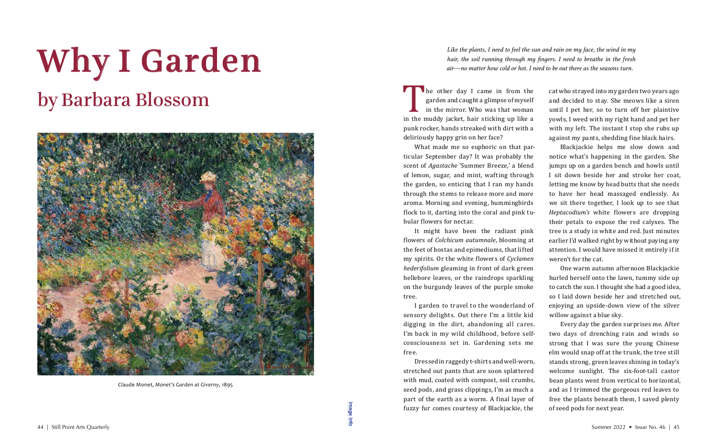*Like the plants, I need to feel the sun and rain on my face, the wind in my hair, the soil running through my fingers. I need to breathe in the fresh air—no matter how cold or hot. I need to be out there as the seasons turn.*

The other day I came in from the<br>garden and caught a glimpse of myself<br>in the mirror. Who was that woman<br>in the muddy jacket, hair sticking up like a<br>nunk rocker hands streaked with dirt with a garden and caught a glimpse of myself in the mirror. Who was that woman in the muddy jacket, hair sticking up like a punk rocker, hands streaked with dirt with a deliriously happy grin on her face?

What made me so euphoric on that particular September day? It was probably the scent of *Agastache* 'Summer Breeze,' a blend of lemon, sugar, and mint, wafting through the garden, so enticing that I ran my hands through the stems to release more and more aroma. Morning and evening, hummingbirds flock to it, darting into the coral and pink tubular flowers for nectar.

Dressed in raggedy t-shirts and well-worn, stretched out pants that are soon splattered with mud, coated with compost, soil crumbs, seed pods, and grass clippings, I'm as much a part of the earth as a worm. A final layer of fuzzy fur comes courtesy of Blackjackie, the  $\frac{1}{3}$   $\frac{1}{3}$   $\frac{1}{3}$   $\frac{1}{3}$   $\frac{1}{3}$   $\frac{1}{3}$   $\frac{1}{3}$   $\frac{1}{3}$   $\frac{1}{3}$   $\frac{1}{3}$   $\frac{1}{3}$   $\frac{1}{3}$   $\frac{1}{3}$   $\frac{1}{3}$   $\frac{1}{3}$   $\frac{1}{3}$   $\frac{1}{3}$   $\frac{1}{3}$   $\frac{1}{3}$   $\frac{1}{3}$   $\frac{1}{3}$   $\frac{1}{3}$ 

It might have been the radiant pink flowers of *Colchicum autumnale*, blooming at the feet of hostas and epimediums, that lifted my spirits. Or the white flowers of *Cyclamen hederifolium* gleaming in front of dark green hellebore leaves, or the raindrops sparkling on the burgundy leaves of the purple smoke tree.

I garden to travel to the wonderland of sensory delights. Out there I'm a little kid digging in the dirt, abandoning all cares. I'm back in my wild childhood, before selfconsciousness set in. Gardening sets me free.

cat who strayed into my garden two years ago and decided to stay. She meows like a siren until I pet her, so to turn off her plaintive yowls, I weed with my right hand and pet her with my left. The instant I stop she rubs up against my pants, shedding fine black hairs.

Blackjackie helps me slow down and notice what's happening in the garden. She jumps up on a garden bench and howls until I sit down beside her and stroke her coat, letting me know by head butts that she needs to have her head massaged endlessly. As we sit there together, I look up to see that *Heptacodium's* white flowers are dropping their petals to expose the red calyxes. The tree is a study in white and red. Just minutes earlier I'd walked right by without paying any attention. I would have missed it entirely if it weren't for the cat.

One warm autumn afternoon Blackjackie hurled herself onto the lawn, tummy side up to catch the sun. I thought she had a good idea, so I laid down beside her and stretched out, enjoying an upside-down view of the silver willow against a blue sky. Every day the garden surprises me. After two days of drenching rain and winds so

strong that I was sure the young Chinese elm would snap off at the trunk, the tree still stands strong, green leaves shining in today's welcome sunlight. The six-foot-tall castor bean plants went from vertical to horizontal, and as I trimmed the gorgeous red leaves to free the plants beneath them, I saved plenty of seed pods for next year.

## Why I Garden by Barbara Blossom



Claude Monet, *Monet's Garden at Giverny*, 1895